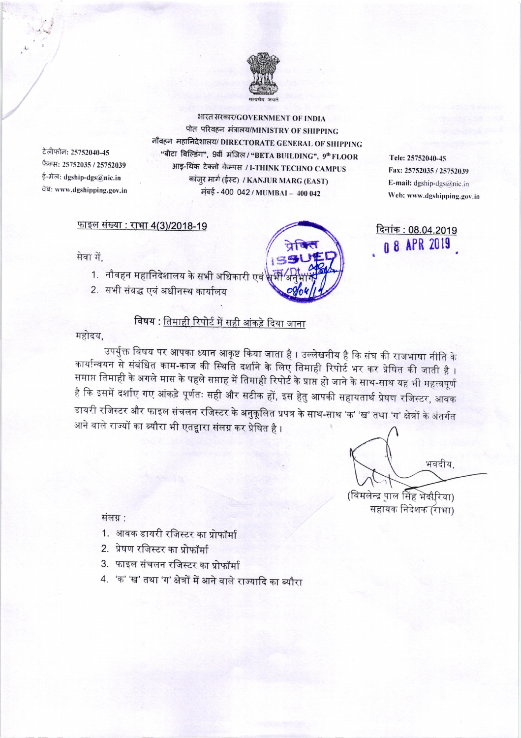

टेलीफोन: 25752040-45 फैक्स: 25752035 / 25752039 ई-मेल: dgship-dgs@nic.in वेब: www.dgshipping.gov.in

भारत सरकार/GOVERNMENT OF INDIA पोत परिवहन मंत्रालय/MINISTRY OF SHIPPING नौबहन महानिदेशालय/ DIRECTORATE GENERAL OF SHIPPING "बीटा बिल्डिंग", 9वीं मंजिल / "BETA BUILDING", 9" FLOOR आइ-थिंक टेक्नो केम्पस / I-THINK TECHNO CAMPUS कांजुर मार्ग (ईस्ट) / KANJUR MARG (EAST) मंबई - 400 042 / MUMBAI - 400 042

## <u> फाइल संख्या : राभा 4(3)/2018-19</u>

2. सभी संबद्ध एवं अधीनस्थ कार्यालय



Tele: 25752040-45 Fax: 25752035 / 25752039 E-mail: dgship-dgs@nic.in Web: www.dgshipping.gov.in

दिनांक: 08.04.2019 0 8 APR 2019

सेवा में,

## विषय : <u>तिमाही रिपोर्ट में सही आंकड़े दिया जाना</u>

महोदय.

उपर्युक्त विषय पर आपका ध्यान आकृष्ट किया जाता है । उल्लेखनीय है कि संघ की राजभाषा नीति के कार्यान्वयन से संबंधित काम-काज की स्थिति दर्शाने के लिए तिमाही रिपोर्ट भर कर प्रेषित की जाती है। समाप्त तिमाही के अगले मास के पहले सप्ताह में तिमाही रिपोर्ट के प्राप्त हो जाने के साथ-साथ यह भी महत्वपूर्ण है कि इसमें दर्शाए गए आंकड़े पूर्णतः सही और सटीक हों, इस हेतु आपकी सहायतार्थ प्रेषण रजिस्टर, आवक डायरी रजिस्टर और फाइल संचलन रजिस्टर के अनुकूलित प्रपत्र के साथ-साथ 'क' 'ख' तथा 'ग' क्षेत्रों के अंतर्गत आने वाले राज्यों का ब्यौरा भी एतद्वारा संलग्न कर प्रेषित है ।

भवदीय.

(विमलेन्द्र पाल सिंह भेदौरिया) सहायक निदेशक (राभा)

संलग्न :

- 1. आवक डायरी रजिस्टर का प्रोफॉर्मा
- 2. प्रेषण रजिस्टर का प्रोफॉर्मा
- 3. फाइल संचलन रजिस्टर का प्रोफॉर्मा
- 4. 'क' 'ख' तथा 'ग' क्षेत्रों में आने वाले राज्यादि का ब्यौरा